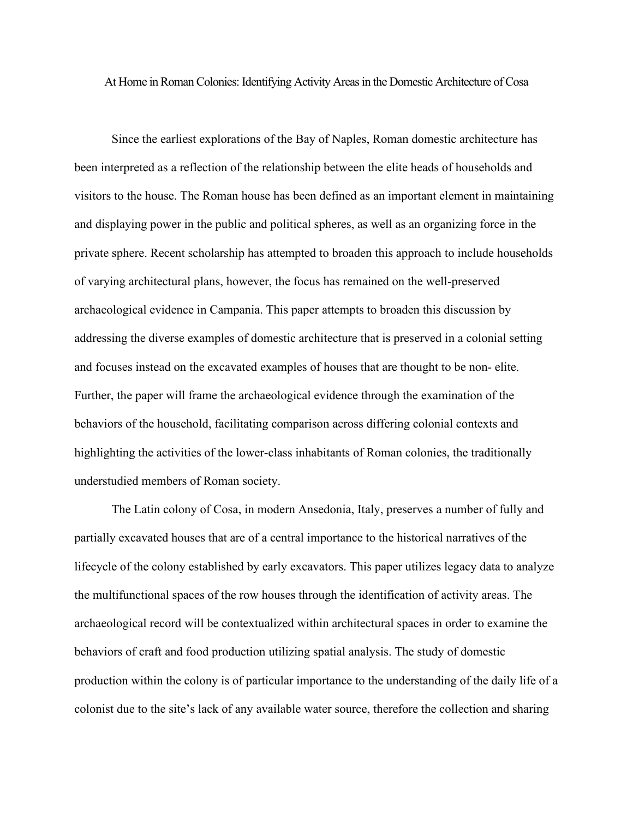At Home in Roman Colonies: Identifying Activity Areas in the Domestic Architecture of Cosa

Since the earliest explorations of the Bay of Naples, Roman domestic architecture has been interpreted as a reflection of the relationship between the elite heads of households and visitors to the house. The Roman house has been defined as an important element in maintaining and displaying power in the public and political spheres, as well as an organizing force in the private sphere. Recent scholarship has attempted to broaden this approach to include households of varying architectural plans, however, the focus has remained on the well-preserved archaeological evidence in Campania. This paper attempts to broaden this discussion by addressing the diverse examples of domestic architecture that is preserved in a colonial setting and focuses instead on the excavated examples of houses that are thought to be non- elite. Further, the paper will frame the archaeological evidence through the examination of the behaviors of the household, facilitating comparison across differing colonial contexts and highlighting the activities of the lower-class inhabitants of Roman colonies, the traditionally understudied members of Roman society.

The Latin colony of Cosa, in modern Ansedonia, Italy, preserves a number of fully and partially excavated houses that are of a central importance to the historical narratives of the lifecycle of the colony established by early excavators. This paper utilizes legacy data to analyze the multifunctional spaces of the row houses through the identification of activity areas. The archaeological record will be contextualized within architectural spaces in order to examine the behaviors of craft and food production utilizing spatial analysis. The study of domestic production within the colony is of particular importance to the understanding of the daily life of a colonist due to the site's lack of any available water source, therefore the collection and sharing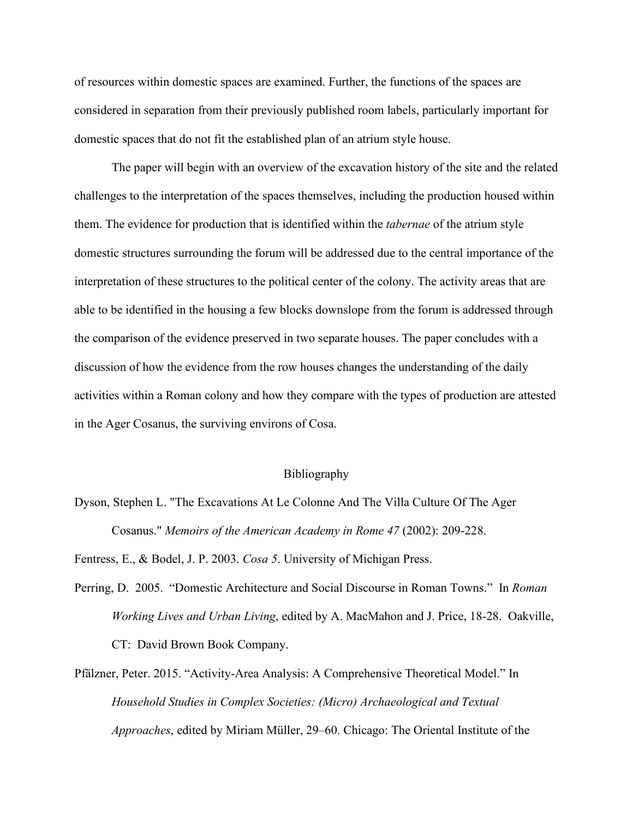of resources within domestic spaces are examined. Further, the functions of the spaces are considered in separation from their previously published room labels, particularly important for domestic spaces that do not fit the established plan of an atrium style house.

The paper will begin with an overview of the excavation history of the site and the related challenges to the interpretation of the spaces themselves, including the production housed within them. The evidence for production that is identified within the *tabernae* of the atrium style domestic structures surrounding the forum will be addressed due to the central importance of the interpretation of these structures to the political center of the colony. The activity areas that are able to be identified in the housing a few blocks downslope from the forum is addressed through the comparison of the evidence preserved in two separate houses. The paper concludes with a discussion of how the evidence from the row houses changes the understanding of the daily activities within a Roman colony and how they compare with the types of production are attested in the Ager Cosanus, the surviving environs of Cosa.

## Bibliography

Dyson, Stephen L. "The Excavations At Le Colonne And The Villa Culture Of The Ager Cosanus." *Memoirs of the American Academy in Rome 47* (2002): 209-228.

Fentress, E., & Bodel, J. P. 2003. *Cosa 5*. University of Michigan Press.

- Perring, D. 2005. "Domestic Architecture and Social Discourse in Roman Towns." In *Roman Working Lives and Urban Living*, edited by A. MacMahon and J. Price, 18-28. Oakville, CT: David Brown Book Company.
- Pfälzner, Peter. 2015. "Activity-Area Analysis: A Comprehensive Theoretical Model." In *Household Studies in Complex Societies: (Micro) Archaeological and Textual Approaches*, edited by Miriam Müller, 29–60. Chicago: The Oriental Institute of the